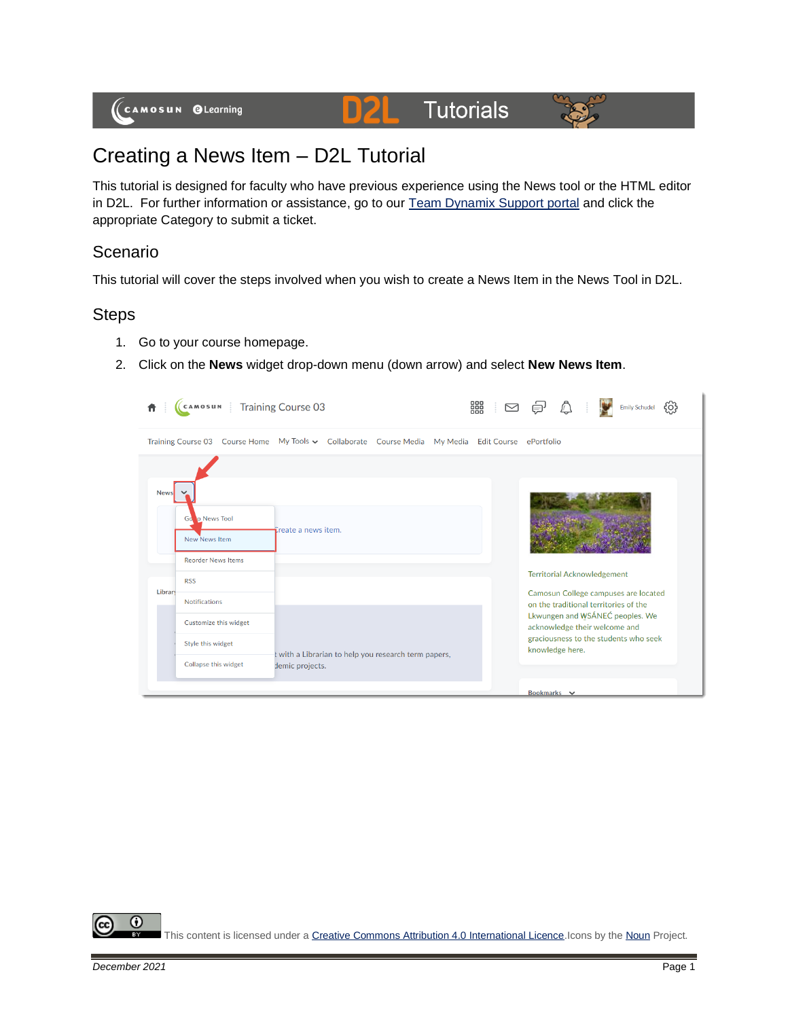#### **Tutorials** DZL



# Creating a News Item – D2L Tutorial

This tutorial is designed for faculty who have previous experience using the News tool or the HTML editor in D2L. For further information or assistance, go to our [Team Dynamix Support portal](https://camosun.teamdynamix.com/TDClient/67/Portal/Requests/ServiceCatalog?CategoryID=523) and click the appropriate Category to submit a ticket.

## Scenario

This tutorial will cover the steps involved when you wish to create a News Item in the News Tool in D2L.

## **Steps**

- 1. Go to your course homepage.
- 2. Click on the **News** widget drop-down menu (down arrow) and select **New News Item**.

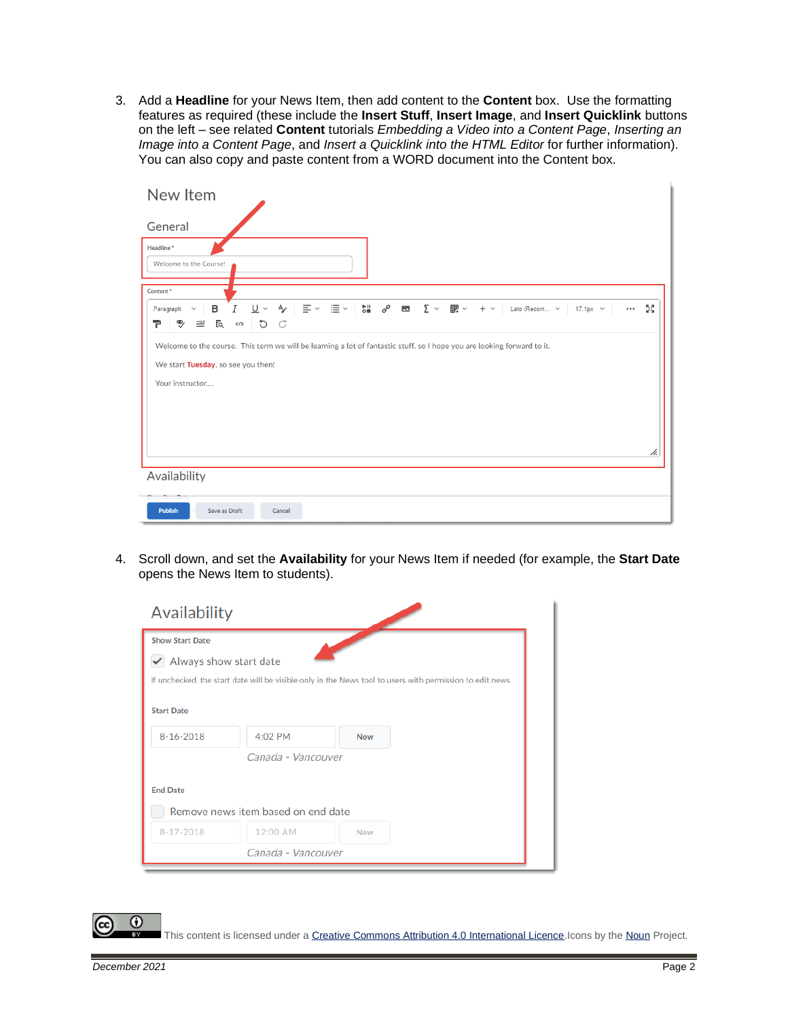3. Add a **Headline** for your News Item, then add content to the **Content** box. Use the formatting features as required (these include the **Insert Stuff**, **Insert Image**, and **Insert Quicklink** buttons on the left – see related **Content** tutorials *Embedding a Video into a Content Page*, *Inserting an Image into a Content Page*, and *Insert a Quicklink into the HTML Editor* for further information). You can also copy and paste content from a WORD document into the Content box.

| New Item                                                                                                                                                                         |
|----------------------------------------------------------------------------------------------------------------------------------------------------------------------------------|
| General                                                                                                                                                                          |
| Headline*<br>Welcome to the Course!                                                                                                                                              |
| Content*                                                                                                                                                                         |
| $\cdots$ 22<br>$\frac{1}{\sqrt{1}}$<br>$+ \vee$ Lato (Recom $\times$ 17.1px $\times$<br>в<br>Paragraph<br>$\checkmark$<br>E so di<br>쿠<br>$\ddot{\mathbb{Y}}$<br>$\equiv$        |
| Welcome to the course. This term we will be learning a lot of fantastic stuff, so I hope you are looking forward to it.<br>We start Tuesday, so see you then!<br>Your instructor |
| h.<br>Availability                                                                                                                                                               |
| Show Start Date<br>Save as Draft<br><b>Publish</b><br>Cancel                                                                                                                     |
|                                                                                                                                                                                  |

4. Scroll down, and set the **Availability** for your News Item if needed (for example, the **Start Date** opens the News Item to students).



This content is licensed under [a Creative Commons Attribution 4.0 International Licence.I](https://creativecommons.org/licenses/by/4.0/)cons by th[e Noun](https://creativecommons.org/website-icons/) Project.

⋒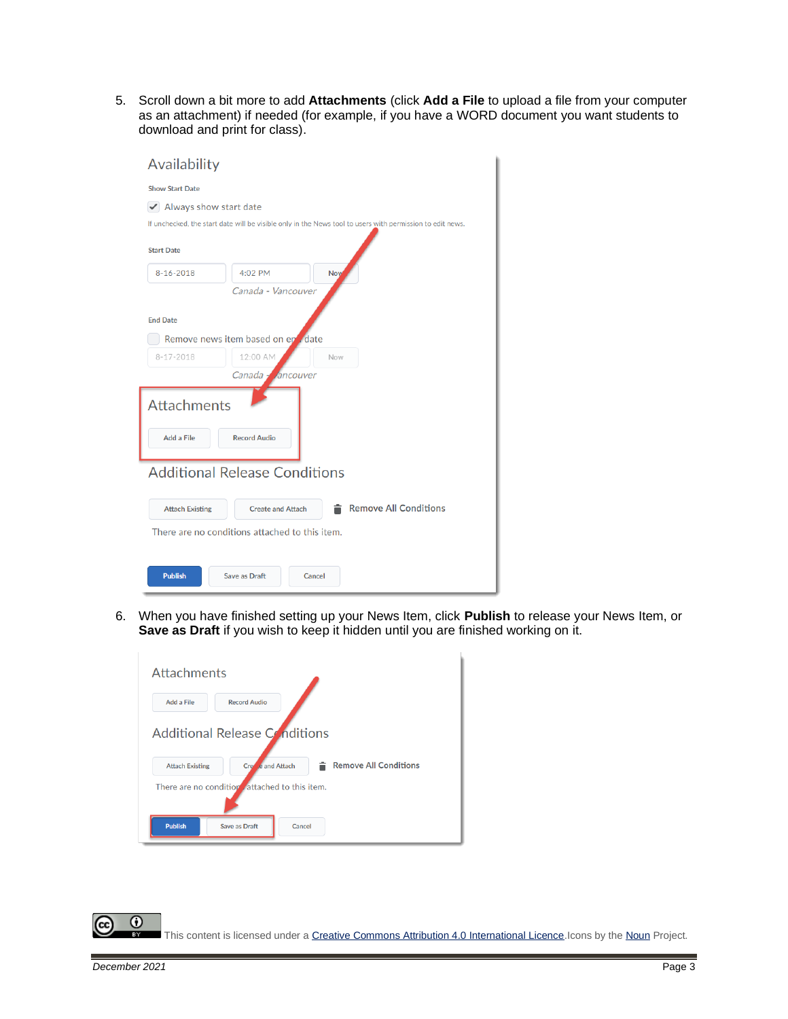5. Scroll down a bit more to add **Attachments** (click **Add a File** to upload a file from your computer as an attachment) if needed (for example, if you have a WORD document you want students to download and print for class).

| Availability                                   |                                      |                                                                                                           |  |  |
|------------------------------------------------|--------------------------------------|-----------------------------------------------------------------------------------------------------------|--|--|
| <b>Show Start Date</b>                         |                                      |                                                                                                           |  |  |
| Always show start date<br>$\checkmark$         |                                      |                                                                                                           |  |  |
|                                                |                                      | If unchecked, the start date will be visible only in the News tool to users with permission to edit news. |  |  |
| <b>Start Date</b>                              |                                      |                                                                                                           |  |  |
| $8 - 16 - 2018$                                | 4:02 PM                              | <b>Now</b>                                                                                                |  |  |
|                                                | Canada - Vancouver                   |                                                                                                           |  |  |
|                                                |                                      |                                                                                                           |  |  |
| <b>End Date</b>                                |                                      |                                                                                                           |  |  |
|                                                | Remove news item based on en date    |                                                                                                           |  |  |
| $8 - 17 - 2018$                                | 12:00 AM                             | Now                                                                                                       |  |  |
|                                                | Canada,<br><b><i>Ancouver</i></b>    |                                                                                                           |  |  |
| <b>Attachments</b>                             |                                      |                                                                                                           |  |  |
| Add a File                                     | <b>Record Audio</b>                  |                                                                                                           |  |  |
|                                                | <b>Additional Release Conditions</b> |                                                                                                           |  |  |
| <b>Attach Existing</b>                         | <b>Create and Attach</b>             | <b>Remove All Conditions</b>                                                                              |  |  |
| There are no conditions attached to this item. |                                      |                                                                                                           |  |  |
|                                                |                                      |                                                                                                           |  |  |
| <b>Publish</b>                                 | Save as Draft                        | Cancel                                                                                                    |  |  |

6. When you have finished setting up your News Item, click **Publish** to release your News Item, or **Save as Draft** if you wish to keep it hidden until you are finished working on it.

| <b>Attachments</b>     |                                                            |  |
|------------------------|------------------------------------------------------------|--|
| Add a File             | <b>Record Audio</b>                                        |  |
|                        | Additional Release Conditions                              |  |
| <b>Attach Existing</b> | <b>Remove All Conditions</b><br>e and Attach<br><b>Cre</b> |  |
|                        | There are no condition attached to this item.              |  |
| <b>Publish</b>         | Cancel<br>Save as Draft                                    |  |

 $\odot$ This content is licensed under [a Creative Commons Attribution 4.0 International Licence.I](https://creativecommons.org/licenses/by/4.0/)cons by th[e Noun](https://creativecommons.org/website-icons/) Project.